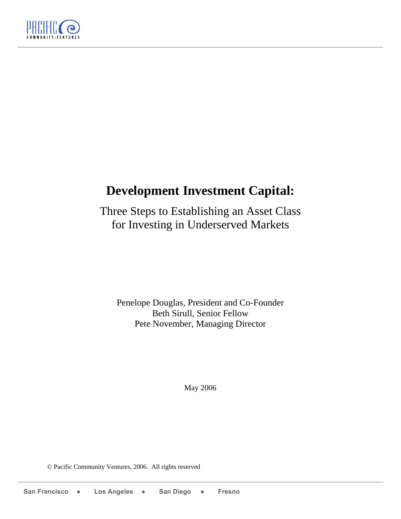

# **Development Investment Capital:**

Three Steps to Establishing an Asset Class for Investing in Underserved Markets

Penelope Douglas, President and Co-Founder Beth Sirull, Senior Fellow Pete November, Managing Director

May 2006

© Pacific Community Ventures, 2006. All rights reserved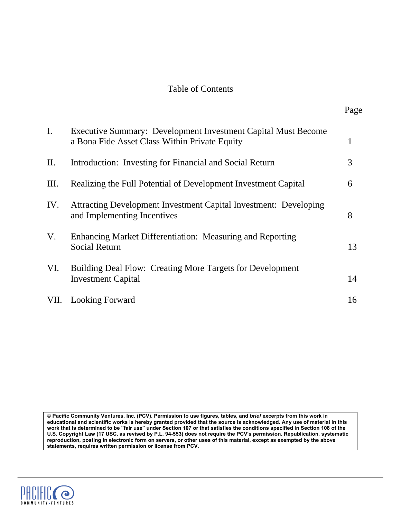# Table of Contents

Page

| $\mathbf{I}$ . | Executive Summary: Development Investment Capital Must Become                                   |    |
|----------------|-------------------------------------------------------------------------------------------------|----|
|                | a Bona Fide Asset Class Within Private Equity                                                   | 1  |
| II.            | Introduction: Investing for Financial and Social Return                                         | 3  |
| Ш.             | Realizing the Full Potential of Development Investment Capital                                  | 6  |
| IV.            | Attracting Development Investment Capital Investment: Developing<br>and Implementing Incentives | 8  |
| V.             | Enhancing Market Differentiation: Measuring and Reporting<br><b>Social Return</b>               | 13 |
| VI.            | Building Deal Flow: Creating More Targets for Development<br><b>Investment Capital</b>          | 14 |
| VII.           | <b>Looking Forward</b>                                                                          | 16 |

© **Pacific Community Ventures, Inc. (PCV). Permission to use figures, tables, and** *brief* **excerpts from this work in educational and scientific works is hereby granted provided that the source is acknowledged. Any use of material in this work that is determined to be "fair use" under Section 107 or that satisfies the conditions specified in Section 108 of the U.S. Copyright Law (17 USC, as revised by P.L. 94-553) does not require the PCV's permission. Republication, systematic reproduction, posting in electronic form on servers, or other uses of this material, except as exempted by the above statements, requires written permission or license from PCV.** 

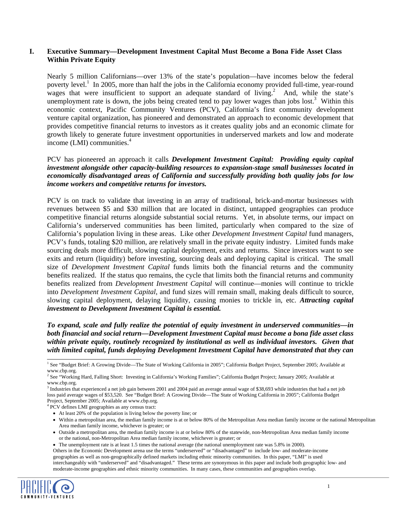#### **I. Executive Summary—Development Investment Capital Must Become a Bona Fide Asset Class Within Private Equity**

Nearly 5 million Californians—over 13% of the state's population—have incomes below the federal poverty level.<sup>[1](#page-2-0)</sup> In 2005, more than half the jobs in the California economy provided full-time, year-round wages that were insufficient to support an adequate standard of living.<sup>2</sup> And, while the state's unemployment rate is down, the jobs being created tend to pay lower wages than jobs lost.<sup>[3](#page-2-2)</sup> Within this economic context, Pacific Community Ventures (PCV), California's first community development venture capital organization, has pioneered and demonstrated an approach to economic development that provides competitive financial returns to investors as it creates quality jobs and an economic climate for growth likely to generate future investment opportunities in underserved markets and low and moderate income(LMI) communities.<sup>4</sup>

PCV has pioneered an approach it calls *Development Investment Capital: Providing equity capital investment alongside other capacity-building resources to expansion-stage small businesses located in economically disadvantaged areas of California and successfully providing both quality jobs for low income workers and competitive returns for investors.*

PCV is on track to validate that investing in an array of traditional, brick-and-mortar businesses with revenues between \$5 and \$30 million that are located in distinct, untapped geographies can produce competitive financial returns alongside substantial social returns. Yet, in absolute terms, our impact on California's underserved communities has been limited, particularly when compared to the size of California's population living in these areas. Like other *Development Investment Capital* fund managers, PCV's funds, totaling \$20 million, are relatively small in the private equity industry. Limited funds make sourcing deals more difficult, slowing capital deployment, exits and returns. Since investors want to see exits and return (liquidity) before investing, sourcing deals and deploying capital is critical. The small size of *Development Investment Capital* funds limits both the financial returns and the community benefits realized. If the status quo remains, the cycle that limits both the financial returns and community benefits realized from *Development Investment Capital* will continue—monies will continue to trickle into *Development Investment Capital*, and fund sizes will remain small, making deals difficult to source, slowing capital deployment, delaying liquidity, causing monies to trickle in, etc. *Attracting capital investment to Development Investment Capital is essential.* 

*To expand, scale and fully realize the potential of equity investment in underserved communities—in both financial and social return—Development Investment Capital must become a bona fide asset class within private equity, routinely recognized by institutional as well as individual investors. Given that with limited capital, funds deploying Development Investment Capital have demonstrated that they can*

<span id="page-2-3"></span><sup>4</sup> PCV defines LMI geographies as any census tract:

- Outside a metropolitan area, the median family income is at or below 80% of the statewide, non-Metropolitan Area median family income or the national, non-Metropolitan Area median family income, whichever is greater; or
- The unemployment rate is at least 1.5 times the national average (the national unemployment rate was 5.8% in 2000).

Others in the Economic Development arena use the terms "underserved" or "disadvantaged" to include low- and moderate-income geographies as well as non-geographically defined markets including ethnic minority communities. In this paper, "LMI" is used interchangeably with "underserved" and "disadvantaged." These terms are synonymous in this paper and include both geographic low- and moderate-income geographies and ethnic minority communities. In many cases, these communities and geographies overlap.



<span id="page-2-0"></span> $\frac{1}{1}$ <sup>1</sup> See "Budget Brief: A Growing Divide—The State of Working California in 2005"; California Budget Project, September 2005; Available at www.cbp.org.

<span id="page-2-1"></span><sup>2</sup> See "Working Hard, Falling Short: Investing in California's Working Families"; California Budget Project; January 2005; Available at www.cbp.org.

<span id="page-2-2"></span><sup>&</sup>lt;sup>3</sup> Industries that experienced a net job gain between 2001 and 2004 paid an average annual wage of \$38,693 while industries that had a net job loss paid average wages of \$53,520. See "Budget Brief: A Growing Divide—The State of Working California in 2005"; California Budget Project, September 2005; Available at www.cbp.org. 4

<sup>•</sup> At least 20% of the population is living below the poverty line; or

<sup>•</sup> Within a metropolitan area, the median family income is at or below 80% of the Metropolitan Area median family income or the national Metropolitan Area median family income, whichever is greater; or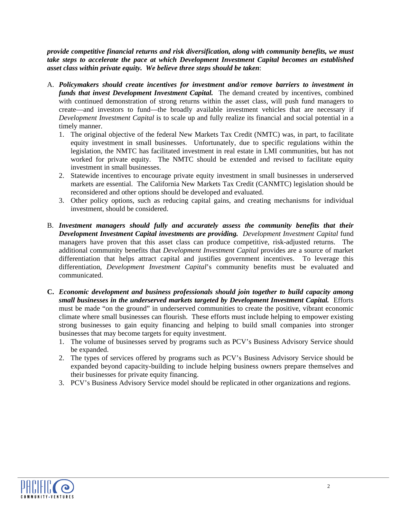*provide competitive financial returns and risk diversification, along with community benefits, we must take steps to accelerate the pace at which Development Investment Capital becomes an established asset class within private equity. We believe three steps should be taken*:

- A. *Policymakers should create incentives for investment and/or remove barriers to investment in funds that invest Development Investment Capital.* The demand created by incentives, combined with continued demonstration of strong returns within the asset class, will push fund managers to create—and investors to fund—the broadly available investment vehicles that are necessary if *Development Investment Capital* is to scale up and fully realize its financial and social potential in a timely manner.
	- 1. The original objective of the federal New Markets Tax Credit (NMTC) was, in part, to facilitate equity investment in small businesses. Unfortunately, due to specific regulations within the legislation, the NMTC has facilitated investment in real estate in LMI communities, but has not worked for private equity. The NMTC should be extended and revised to facilitate equity investment in small businesses.
	- 2. Statewide incentives to encourage private equity investment in small businesses in underserved markets are essential. The California New Markets Tax Credit (CANMTC) legislation should be reconsidered and other options should be developed and evaluated.
	- 3. Other policy options, such as reducing capital gains, and creating mechanisms for individual investment, should be considered.
- B. *Investment managers should fully and accurately assess the community benefits that their Development Investment Capital investments are providing. Development Investment Capital* fund managers have proven that this asset class can produce competitive, risk-adjusted returns. The additional community benefits that *Development Investment Capital* provides are a source of market differentiation that helps attract capital and justifies government incentives. To leverage this differentiation, *Development Investment Capital*'s community benefits must be evaluated and communicated.
- **C.** *Economic development and business professionals should join together to build capacity among small businesses in the underserved markets targeted by Development Investment Capital.* Efforts must be made "on the ground" in underserved communities to create the positive, vibrant economic climate where small businesses can flourish. These efforts must include helping to empower existing strong businesses to gain equity financing and helping to build small companies into stronger businesses that may become targets for equity investment.
	- 1. The volume of businesses served by programs such as PCV's Business Advisory Service should be expanded.
	- 2. The types of services offered by programs such as PCV's Business Advisory Service should be expanded beyond capacity-building to include helping business owners prepare themselves and their businesses for private equity financing.
	- 3. PCV's Business Advisory Service model should be replicated in other organizations and regions.

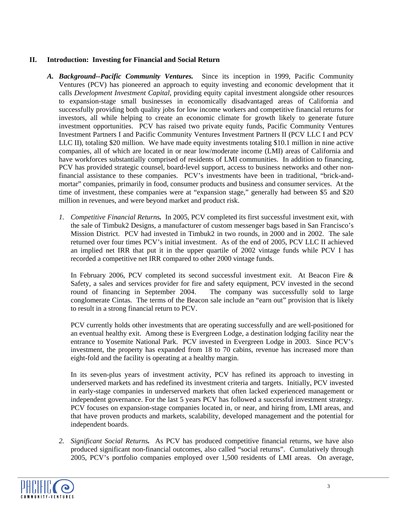## **II. Introduction: Investing for Financial and Social Return**

- *A. Background--Pacific Community Ventures.* Since its inception in 1999, Pacific Community Ventures (PCV) has pioneered an approach to equity investing and economic development that it calls *Development Investment Capital*, providing equity capital investment alongside other resources to expansion-stage small businesses in economically disadvantaged areas of California and successfully providing both quality jobs for low income workers and competitive financial returns for investors, all while helping to create an economic climate for growth likely to generate future investment opportunities. PCV has raised two private equity funds, Pacific Community Ventures Investment Partners I and Pacific Community Ventures Investment Partners II (PCV LLC I and PCV LLC II), totaling \$20 million. We have made equity investments totaling \$10.1 million in nine active companies, all of which are located in or near low/moderate income (LMI) areas of California and have workforces substantially comprised of residents of LMI communities. In addition to financing, PCV has provided strategic counsel, board-level support, access to business networks and other nonfinancial assistance to these companies. PCV's investments have been in traditional, "brick-andmortar" companies, primarily in food, consumer products and business and consumer services. At the time of investment, these companies were at "expansion stage," generally had between \$5 and \$20 million in revenues, and were beyond market and product risk.
	- *1. Competitive Financial Returns.* In 2005, PCV completed its first successful investment exit, with the sale of Timbuk2 Designs, a manufacturer of custom messenger bags based in San Francisco's Mission District. PCV had invested in Timbuk2 in two rounds, in 2000 and in 2002. The sale returned over four times PCV's initial investment. As of the end of 2005, PCV LLC II achieved an implied net IRR that put it in the upper quartile of 2002 vintage funds while PCV I has recorded a competitive net IRR compared to other 2000 vintage funds.

In February 2006, PCV completed its second successful investment exit. At Beacon Fire & Safety, a sales and services provider for fire and safety equipment, PCV invested in the second round of financing in September 2004. The company was successfully sold to large conglomerate Cintas. The terms of the Beacon sale include an "earn out" provision that is likely to result in a strong financial return to PCV.

PCV currently holds other investments that are operating successfully and are well-positioned for an eventual healthy exit. Among these is Evergreen Lodge, a destination lodging facility near the entrance to Yosemite National Park. PCV invested in Evergreen Lodge in 2003. Since PCV's investment, the property has expanded from 18 to 70 cabins, revenue has increased more than eight-fold and the facility is operating at a healthy margin.

In its seven-plus years of investment activity, PCV has refined its approach to investing in underserved markets and has redefined its investment criteria and targets. Initially, PCV invested in early-stage companies in underserved markets that often lacked experienced management or independent governance. For the last 5 years PCV has followed a successful investment strategy. PCV focuses on expansion-stage companies located in, or near, and hiring from, LMI areas, and that have proven products and markets, scalability, developed management and the potential for independent boards.

*2. Significant Social Returns.* As PCV has produced competitive financial returns, we have also produced significant non-financial outcomes, also called "social returns". Cumulatively through 2005, PCV's portfolio companies employed over 1,500 residents of LMI areas. On average,

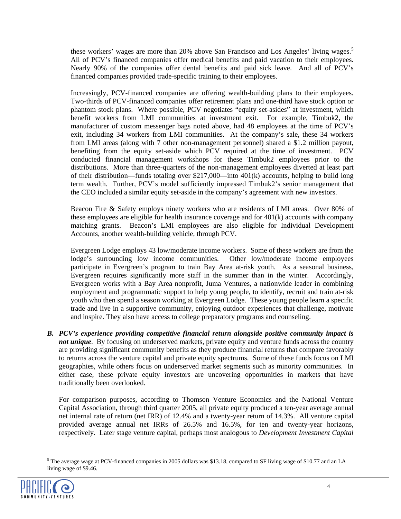these workers' wages are more than 20% above San Francisco and Los Angeles' living wages.<sup>[5](#page-5-0)</sup> All of PCV's financed companies offer medical benefits and paid vacation to their employees. Nearly 90% of the companies offer dental benefits and paid sick leave. And all of PCV's financed companies provided trade-specific training to their employees.

Increasingly, PCV-financed companies are offering wealth-building plans to their employees. Two-thirds of PCV-financed companies offer retirement plans and one-third have stock option or phantom stock plans. Where possible, PCV negotiates "equity set-asides" at investment, which benefit workers from LMI communities at investment exit. For example, Timbuk2, the manufacturer of custom messenger bags noted above, had 48 employees at the time of PCV's exit, including 34 workers from LMI communities. At the company's sale, these 34 workers from LMI areas (along with 7 other non-management personnel) shared a \$1.2 million payout, benefiting from the equity set-aside which PCV required at the time of investment. PCV conducted financial management workshops for these Timbuk2 employees prior to the distributions. More than three-quarters of the non-management employees diverted at least part of their distribution—funds totaling over \$217,000—into 401(k) accounts, helping to build long term wealth. Further, PCV's model sufficiently impressed Timbuk2's senior management that the CEO included a similar equity set-aside in the company's agreement with new investors.

Beacon Fire & Safety employs ninety workers who are residents of LMI areas. Over 80% of these employees are eligible for health insurance coverage and for 401(k) accounts with company matching grants. Beacon's LMI employees are also eligible for Individual Development Accounts, another wealth-building vehicle, through PCV.

Evergreen Lodge employs 43 low/moderate income workers. Some of these workers are from the lodge's surrounding low income communities. Other low/moderate income employees participate in Evergreen's program to train Bay Area at-risk youth. As a seasonal business, Evergreen requires significantly more staff in the summer than in the winter. Accordingly, Evergreen works with a Bay Area nonprofit, Juma Ventures, a nationwide leader in combining employment and programmatic support to help young people, to identify, recruit and train at-risk youth who then spend a season working at Evergreen Lodge. These young people learn a specific trade and live in a supportive community, enjoying outdoor experiences that challenge, motivate and inspire. They also have access to college preparatory programs and counseling.

*B. PCV's experience providing competitive financial return alongside positive community impact is not unique*. By focusing on underserved markets, private equity and venture funds across the country are providing significant community benefits as they produce financial returns that compare favorably to returns across the venture capital and private equity spectrums. Some of these funds focus on LMI geographies, while others focus on underserved market segments such as minority communities. In either case, these private equity investors are uncovering opportunities in markets that have traditionally been overlooked.

For comparison purposes, according to Thomson Venture Economics and the National Venture Capital Association, through third quarter 2005, all private equity produced a ten-year average annual net internal rate of return (net IRR) of 12.4% and a twenty-year return of 14.3%. All venture capital provided average annual net IRRs of 26.5% and 16.5%, for ten and twenty-year horizons, respectively. Later stage venture capital, perhaps most analogous to *Development Investment Capital*

<span id="page-5-0"></span><sup>&</sup>lt;sup>5</sup>The average wage at PCV-financed companies in 2005 dollars was \$13.18, compared to SF living wage of \$10.77 and an LA living wage of \$9.46.

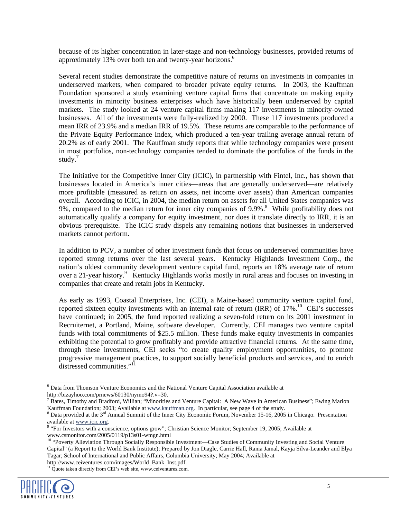because of its higher concentration in later-stage and non-technology businesses, provided returns of approximately 13% over both ten and twenty-year horizons.<sup>[6](#page-6-0)</sup>

Several recent studies demonstrate the competitive nature of returns on investments in companies in underserved markets, when compared to broader private equity returns. In 2003, the Kauffman Foundation sponsored a study examining venture capital firms that concentrate on making equity investments in minority business enterprises which have historically been underserved by capital markets. The study looked at 24 venture capital firms making 117 investments in minority-owned businesses. All of the investments were fully-realized by 2000. These 117 investments produced a mean IRR of 23.9% and a median IRR of 19.5%. These returns are comparable to the performance of the Private Equity Performance Index, which produced a ten-year trailing average annual return of 20.2% as of early 2001. The Kauffman study reports that while technology companies were present in most portfolios, non-technology companies tended to dominate the portfolios of the funds in the study. [7](#page-6-1)

The Initiative for the Competitive Inner City (ICIC), in partnership with Fintel, Inc., has shown that businesses located in America's inner cities—areas that are generally underserved—are relatively more profitable (measured as return on assets, net income over assets) than American companies overall. According to ICIC, in 2004, the median return on assets for all United States companies was 9%, compared to the median return for inner city companies of 9.9%.<sup>[8](#page-6-2)</sup> While profitability does not automatically qualify a company for equity investment, nor does it translate directly to IRR, it is an obvious prerequisite. The ICIC study dispels any remaining notions that businesses in underserved markets cannot perform.

In addition to PCV, a number of other investment funds that focus on underserved communities have reported strong returns over the last several years. Kentucky Highlands Investment Corp., the nation's oldest community development venture capital fund, reports an 18% average rate of return over a 21-year history.<sup>[9](#page-6-3)</sup> Kentucky Highlands works mostly in rural areas and focuses on investing in companies that create and retain jobs in Kentucky.

As early as 1993, Coastal Enterprises, Inc. (CEI), a Maine-based community venture capital fund, reported sixteen equity investments with an internal rate of return (IRR) of  $17\%$ .<sup>10</sup> CEI's successes have continued; in 2005, the fund reported realizing a seven-fold return on its 2001 investment in Recruiternet, a Portland, Maine, software developer. Currently, CEI manages two venture capital funds with total commitments of \$25.5 million. These funds make equity investments in companies exhibiting the potential to grow profitably and provide attractive financial returns. At the same time, through these investments, CEI seeks "to create quality employment opportunities, to promote progressive management practices, to support socially beneficial products and services, and to enrich distressed communities."[11](#page-6-5)

http://www.ceiventures.com/images/World\_Bank\_Inst.pdf.  $11$  Quote taken directly from CEI's web site, www.ceiventures.com.



<span id="page-6-0"></span> <sup>6</sup> Data from Thomson Venture Economics and the National Venture Capital Association available at http://bizayhoo.com/prnews/60130/nymo94?.y=30.

<span id="page-6-1"></span><sup>&</sup>lt;sup>7</sup> Bates, Timothy and Bradford, Willian; "Minorities and Venture Capital: A New Wave in American Business"; Ewing Marion Kauffman Foundation; 2003; Available at www.kauffman.org. In particular, see page 4 of the study.

<span id="page-6-2"></span> $8$  Data provided at the  $3<sup>rd</sup>$  Annual Summit of the Inner City Economic Forum, November 15-16, 2005 in Chicago. Presentation available at [www.icic.org.](http://www.icic.org/)

<span id="page-6-3"></span><sup>&</sup>lt;sup>9</sup> "For Investors with a conscience, options grow"; Christian Science Monitor; September 19, 2005; Available at www.csmonitor.com/2005/0119/p13s01-wmgn.html

<span id="page-6-5"></span><span id="page-6-4"></span><sup>&</sup>lt;sup>10</sup> "Poverty Alleviation Through Socially Responsible Investment—Case Studies of Community Investing and Social Venture Capital" (a Report to the World Bank Institute); Prepared by Jon Diagle, Carrie Hall, Rania Jamal, Kayja Silva-Leander and Elya Tagar; School of International and Public Affairs, Columbia University; May 2004; Available at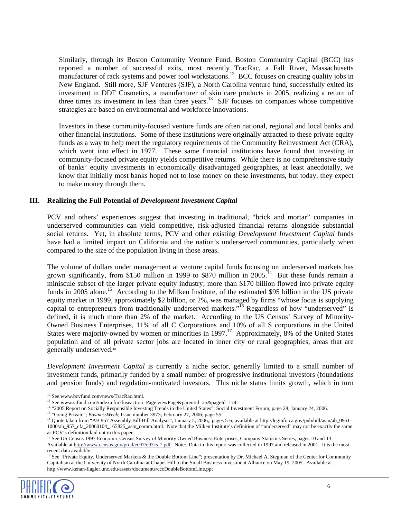Similarly, through its Boston Community Venture Fund, Boston Community Capital (BCC) has reported a number of successful exits, most recently TracRac, a Fall River, Massachusetts manufacturer of rack systems and power tool workstations.<sup>12</sup> BCC focuses on creating quality jobs in New England. Still more, SJF Ventures (SJF), a North Carolina venture fund, successfully exited its investment in DDF Cosmetics, a manufacturer of skin care products in 2005, realizing a return of three times its investment in less than three years.<sup>13</sup> SJF focuses on companies whose competitive strategies are based on environmental and workforce innovations.

Investors in these community-focused venture funds are often national, regional and local banks and other financial institutions. Some of these institutions were originally attracted to these private equity funds as a way to help meet the regulatory requirements of the Community Reinvestment Act (CRA), which went into effect in 1977. These same financial institutions have found that investing in community-focused private equity yields competitive returns. While there is no comprehensive study of banks' equity investments in economically disadvantaged geographies, at least anecdotally, we know that initially most banks hoped not to lose money on these investments, but today, they expect to make money through them.

#### **III. Realizing the Full Potential of** *Development Investment Capital*

PCV and others' experiences suggest that investing in traditional, "brick and mortar" companies in underserved communities can yield competitive, risk-adjusted financial returns alongside substantial social returns. Yet, in absolute terms, PCV and other existing *Development Investment Capital* funds have had a limited impact on California and the nation's underserved communities, particularly when compared to the size of the population living in those areas.

The volume of dollars under management at venture capital funds focusing on underserved markets has grown significantly, from \$150 million in 1999 to \$870 million in 2005.<sup>14</sup> But these funds remain a miniscule subset of the larger private equity industry; more than \$170 billion flowed into private equity funds in 2005 alone.<sup>15</sup> According to the Milken Institute, of the estimated \$95 billion in the US private equity market in 1999, approximately \$2 billion, or 2%, was managed by firms "whose focus is supplying capital to entrepreneurs from traditionally underserved markets."<sup>16</sup> Regardless of how "underserved" is defined, it is much more than 2% of the market. According to the US Census' Survey of Minority-Owned Business Enterprises, 11% of all C Corporations and 10% of all S corporations in the United States were majority-owned by women or minorities in 1997.<sup>17</sup> Approximately, 8% of the United States population and of all private sector jobs are located in inner city or rural geographies, areas that are generally underserved.<sup>18</sup>

*Development Investment Capital* is currently a niche sector, generally limited to a small number of investment funds, primarily funded by a small number of progressive institutional investors (foundations and pension funds) and regulation-motivated investors. This niche status limits growth, which in turn<br>
<sup>12</sup> See www.bevfund.com/news/TracRac.html.<br>
<sup>13</sup> See www.sjfund.com/news/TracRac.html.<br>
<sup>13</sup> See www.sjfund.com/news/T

recent data available.<br><sup>18</sup> See "Private Equity, Underserved Markets & the Double Bottom Line"; presentation by Dr. Michael A. Stegman of the Center for Community Capitalism at the University of North Carolina at Chapel Hill to the Small Business Investment Alliance on May 19, 2005. Available at http://www.kenan-flagler.unc.edu/assets/documents/cccDoubleBottomLine.ppt



<span id="page-7-0"></span>

<span id="page-7-1"></span>

<span id="page-7-2"></span>

<span id="page-7-3"></span><sup>&</sup>lt;sup>15</sup> "Going Private"; *BusinessWeek*; Issue number 3973; February 27, 2006; page 55.

<span id="page-7-4"></span><sup>&</sup>lt;sup>16</sup> Quote taken from "AB 957 Assembly Bill-Bill Analysis"; January 5, 2006; pages 5-6; available at [http://leginfo.ca.gov/pub/bill/asm/ab\\_0951-](http://leginfo.ca.gov/pub/bill/asm/ab_0951-1000/ab_957_cfa_20060104_165825_asm_comm.html) [1000/ab\\_957\\_cfa\\_20060104\\_165825\\_asm\\_comm.html](http://leginfo.ca.gov/pub/bill/asm/ab_0951-1000/ab_957_cfa_20060104_165825_asm_comm.html). Note that the Milken Institute's definition of "underserved" may not be exactly the same as PCV's definition laid out in this paper.

<span id="page-7-6"></span><span id="page-7-5"></span><sup>&</sup>lt;sup>17</sup> See US Census 1997 Economic Census Survey of Minority Owned Business Enterprises, Company Statistics Series, pages 10 and 13. Available at [http://www.census.gov/prod/ec97/e97cs-7.pdf.](http://www.census.gov/prod/ec97/e97cs-7.pdf) Note: Data in this report was collected in 1997 and released in 2001. It is the most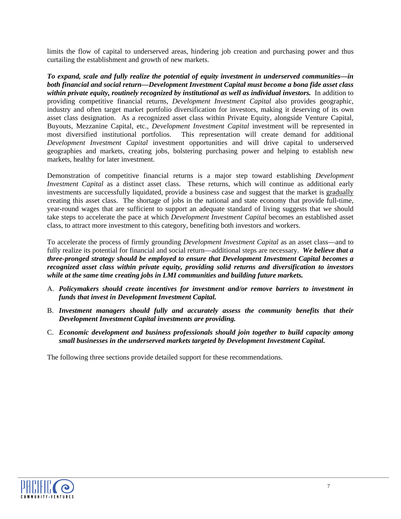limits the flow of capital to underserved areas, hindering job creation and purchasing power and thus curtailing the establishment and growth of new markets.

*To expand, scale and fully realize the potential of equity investment in underserved communities—in both financial and social return—Development Investment Capital must become a bona fide asset class within private equity, routinely recognized by institutional as well as individual investors.* In addition to providing competitive financial returns, *Development Investment Capital* also provides geographic, industry and often target market portfolio diversification for investors, making it deserving of its own asset class designation. As a recognized asset class within Private Equity, alongside Venture Capital, Buyouts, Mezzanine Capital, etc., *Development Investment Capital* investment will be represented in most diversified institutional portfolios. This representation will create demand for additional *Development Investment Capital* investment opportunities and will drive capital to underserved geographies and markets, creating jobs, bolstering purchasing power and helping to establish new markets, healthy for later investment.

Demonstration of competitive financial returns is a major step toward establishing *Development Investment Capital* as a distinct asset class. These returns, which will continue as additional early investments are successfully liquidated, provide a business case and suggest that the market is gradually creating this asset class. The shortage of jobs in the national and state economy that provide full-time, year-round wages that are sufficient to support an adequate standard of living suggests that we should take steps to accelerate the pace at which *Development Investment Capital* becomes an established asset class, to attract more investment to this category, benefiting both investors and workers.

To accelerate the process of firmly grounding *Development Investment Capital* as an asset class—and to fully realize its potential for financial and social return—additional steps are necessary. *We believe that a three-pronged strategy should be employed to ensure that Development Investment Capital becomes a recognized asset class within private equity, providing solid returns and diversification to investors while at the same time creating jobs in LMI communities and building future markets.*

- A. *Policymakers should create incentives for investment and/or remove barriers to investment in funds that invest in Development Investment Capital.*
- B. *Investment managers should fully and accurately assess the community benefits that their Development Investment Capital investments are providing.*
- C. *Economic development and business professionals should join together to build capacity among small businesses in the underserved markets targeted by Development Investment Capital.*

The following three sections provide detailed support for these recommendations.

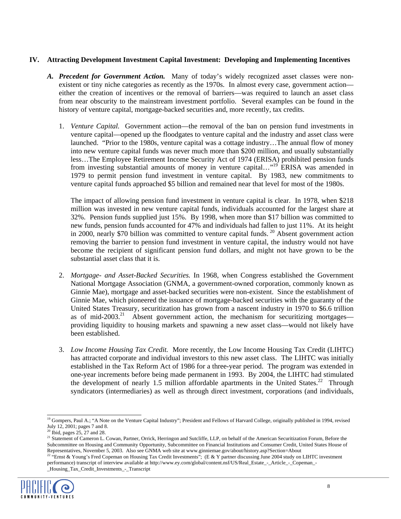## **IV. Attracting Development Investment Capital Investment: Developing and Implementing Incentives**

- *A. Precedent for Government Action.* Many of today's widely recognized asset classes were nonexistent or tiny niche categories as recently as the 1970s. In almost every case, government action either the creation of incentives or the removal of barriers—was required to launch an asset class from near obscurity to the mainstream investment portfolio. Several examples can be found in the history of venture capital, mortgage-backed securities and, more recently, tax credits.
	- 1. *Venture Capital.* Government action—the removal of the ban on pension fund investments in venture capital—opened up the floodgates to venture capital and the industry and asset class were launched. "Prior to the 1980s, venture capital was a cottage industry…The annual flow of money into new venture capital funds was never much more than \$200 million, and usually substantially less…The Employee Retirement Income Security Act of 1974 (ERISA) prohibited pension funds from investing substantial amounts of money in venture capital..."<sup>19</sup> ERISA was amended in 1979 to permit pension fund investment in venture capital. By 1983, new commitments to venture capital funds approached \$5 billion and remained near that level for most of the 1980s.

The impact of allowing pension fund investment in venture capital is clear. In 1978, when \$218 million was invested in new venture capital funds, individuals accounted for the largest share at 32%. Pension funds supplied just 15%. By 1998, when more than \$17 billion was committed to new funds, pension funds accounted for 47% and individuals had fallen to just 11%. At its height in 2000, nearly \$70 billion was committed to venture capital funds.<sup>20</sup> Absent government action removing the barrier to pension fund investment in venture capital, the industry would not have become the recipient of significant pension fund dollars, and might not have grown to be the substantial asset class that it is.

- 2. *Mortgage- and Asset-Backed Securities.* In 1968, when Congress established the Government National Mortgage Association (GNMA, a government-owned corporation, commonly known as Ginnie Mae), mortgage and asset-backed securities were non-existent. Since the establishment of Ginnie Mae, which pioneered the issuance of mortgage-backed securities with the guaranty of the United States Treasury, securitization has grown from a nascent industry in 1970 to \$6.6 trillion as of mid-2003.<sup>21</sup> Absent government action, the mechanism for securitizing mortgages providing liquidity to housing markets and spawning a new asset class—would not likely have been established.
- 3. *Low Income Housing Tax Credit.* More recently, the Low Income Housing Tax Credit (LIHTC) has attracted corporate and individual investors to this new asset class. The LIHTC was initially established in the Tax Reform Act of 1986 for a three-year period. The program was extended in one-year increments before being made permanent in 1993. By 2004, the LIHTC had stimulated the development of nearly 1.5 million affordable apartments in the United States.<sup>22</sup> Through syndicators (intermediaries) as well as through direct investment, corporations (and individuals,

<span id="page-9-3"></span><span id="page-9-2"></span><sup>21</sup> Statement of Cameron L. Cowan, Partner, Orrick, Herringon and Sutcliffe, LLP, on behalf of the American Securitization Forum, Before the Subcommittee on Housing and Community Opportunity, Subcommittee on Financial Institutions and Consumer Credit, United States House of Representatives, November 5, 2003. Also see GNMA web site at www.ginniemae.gov/about/history.asp?Section=About<br><sup>22</sup> "Ernst & Young's Fred Copeman on Housing Tax Credit Investments"; (E & Y partner discussing June 2004 stud

performance) transcript of interview available at http://www.ey.com/global/content.nsf/US/Real\_Estate\_-\_Article\_-\_Copeman\_- \_Housing\_Tax\_Credit\_Investments\_-\_Transcript



<span id="page-9-0"></span><sup>&</sup>lt;sup>19</sup> Gompers, Paul A.; "A Note on the Venture Capital Industry"; President and Fellows of Harvard College, originally published in 1994, revised July 12, 2001; pages 7 and 8.

<span id="page-9-1"></span> $<sup>0</sup>$  Ibid, pages 25, 27 and 28.</sup>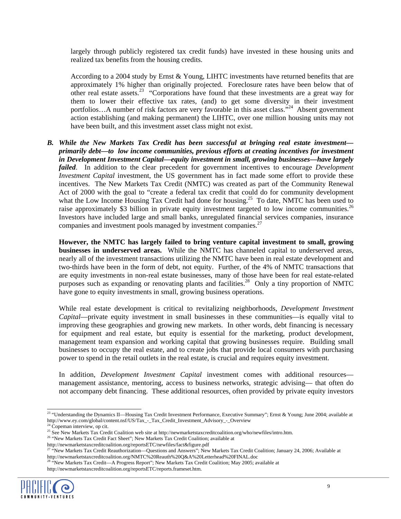largely through publicly registered tax credit funds) have invested in these housing units and realized tax benefits from the housing credits.

According to a 2004 study by Ernst & Young, LIHTC investments have returned benefits that are approximately 1% higher than originally projected. Foreclosure rates have been below that of other real estate assets.<sup>23</sup> "Corporations have found that these investments are a great way for them to lower their effective tax rates, (and) to get some diversity in their investment portfolios...A number of risk factors are very favorable in this asset class.<sup>"24</sup> Absent government action establishing (and making permanent) the LIHTC, over one million housing units may not have been built, and this investment asset class might not exist.

*B. While the New Markets Tax Credit has been successful at bringing real estate investment primarily debt—to low income communities, previous efforts at creating incentives for investment in Development Investment Capital—equity investment in small, growing businesses—have largely failed*. In addition to the clear precedent for government incentives to encourage *Development Investment Capital* investment, the US government has in fact made some effort to provide these incentives. The New Markets Tax Credit (NMTC) was created as part of the Community Renewal Act of 2000 with the goal to "create a federal tax credit that could do for community development what the Low Income Housing Tax Credit had done for housing.<sup>25</sup> To date, NMTC has been used to raise approximately \$3 billion in private equity investment targeted to low income communities.<sup>26</sup> Investors have included large and small banks, unregulated financial services companies, insurance companies and investment pools managed by investment companies.<sup>27</sup>

**However, the NMTC has largely failed to bring venture capital investment to small, growing businesses in underserved areas.**While the NMTC has channeled capital to underserved areas, nearly all of the investment transactions utilizing the NMTC have been in real estate development and two-thirds have been in the form of debt, not equity. Further, of the 4% of NMTC transactions that are equity investments in non-real estate businesses, many of those have been for real estate-related purposes such as expanding or renovating plants and facilities.<sup>28</sup> Only a tiny proportion of NMTC have gone to equity investments in small, growing business operations.

While real estate development is critical to revitalizing neighborhoods, *Development Investment Capital*—private equity investment in small businesses in these communities—is equally vital to improving these geographies and growing new markets. In other words, debt financing is necessary for equipment and real estate, but equity is essential for the marketing, product development, management team expansion and working capital that growing businesses require. Building small businesses to occupy the real estate, and to create jobs that provide local consumers with purchasing power to spend in the retail outlets in the real estate, is crucial and requires equity investment.

In addition, *Development Investment Capital* investment comes with additional resources management assistance, mentoring, access to business networks, strategic advising— that often do not accompany debt financing. These additional resources, often provided by private equity investors

http://newmarketstaxcreditcoalition.org/reportsETC/reports.frameset.htm.



<span id="page-10-0"></span><sup>&</sup>lt;sup>23</sup> "Understanding the Dynamics II—Housing Tax Credit Investment Performance, Executive Summary"; Ernst & Young; June 2004; available at http://www.ey.com/global/content.nsf/US/Tax - Tax Credit Investment Advisory - Overv

<span id="page-10-1"></span>

<sup>&</sup>lt;sup>24</sup> Copeman interview, op cit.<br><sup>25</sup> See New Markets Tax Credit Coalition web site at http://newmarketstaxcreditcoalition.org/who/newfiles/intro.htm.

<span id="page-10-3"></span><span id="page-10-2"></span><sup>&</sup>lt;sup>26</sup> "New Markets Tax Credit Fact Sheet"; New Markets Tax Credit Coalition; available at http://newmarketstaxcreditcoalition.org/reportsETC/newfiles/fact&figure.pdf

<span id="page-10-4"></span><sup>&</sup>lt;sup>27 "</sup>New Markets Tax Credit Reauthorization—Questions and Answers"; New Markets Tax Credit Coalition; January 24, 2006; Available at http://newmarketstaxcreditcoalition.org/NMTC%20Reauth%20Q&A%20Letterhead%20FINAL.doc <sup>28</sup> "New Markets Tax Credit—A Progress Report"; New Markets Tax Credit Coalition; May 2005; available at

<span id="page-10-5"></span>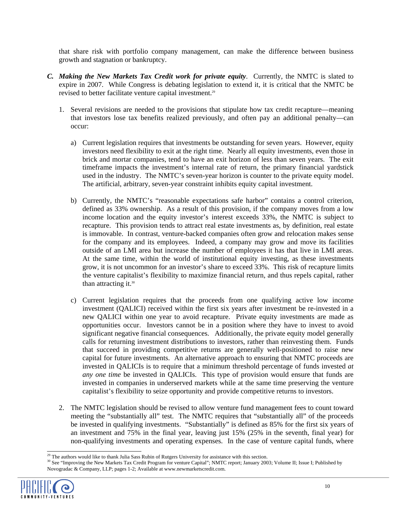that share risk with portfolio company management, can make the difference between business growth and stagnation or bankruptcy.

- *C. Making the New Markets Tax Credit work for private equity*. Currently, the NMTC is slated to expire in 2007. While Congress is debating legislation to extend it, it is critical that the NMTC be revised to better facilitate venture capital investment.<sup>29</sup>
	- 1. Several revisions are needed to the provisions that stipulate how tax credit recapture—meaning that investors lose tax benefits realized previously, and often pay an additional penalty—can occur:
		- a) Current legislation requires that investments be outstanding for seven years. However, equity investors need flexibility to exit at the right time. Nearly all equity investments, even those in brick and mortar companies, tend to have an exit horizon of less than seven years. The exit timeframe impacts the investment's internal rate of return, the primary financial yardstick used in the industry. The NMTC's seven-year horizon is counter to the private equity model. The artificial, arbitrary, seven-year constraint inhibits equity capital investment.
		- b) Currently, the NMTC's "reasonable expectations safe harbor" contains a control criterion, defined as 33% ownership. As a result of this provision, if the company moves from a low income location and the equity investor's interest exceeds 33%, the NMTC is subject to recapture. This provision tends to attract real estate investments as, by definition, real estate is immovable. In contrast, venture-backed companies often grow and relocation makes sense for the company and its employees. Indeed, a company may grow and move its facilities outside of an LMI area but increase the number of employees it has that live in LMI areas. At the same time, within the world of institutional equity investing, as these investments grow, it is not uncommon for an investor's share to exceed 33%. This risk of recapture limits the venture capitalist's flexibility to maximize financial return, and thus repels capital, rather than attracting it.<sup>[30](#page-11-1)</sup>
		- c) Current legislation requires that the proceeds from one qualifying active low income investment (QALICI) received within the first six years after investment be re-invested in a new QALICI within one year to avoid recapture. Private equity investments are made as opportunities occur. Investors cannot be in a position where they have to invest to avoid significant negative financial consequences. Additionally, the private equity model generally calls for returning investment distributions to investors, rather than reinvesting them. Funds that succeed in providing competitive returns are generally well-positioned to raise new capital for future investments. An alternative approach to ensuring that NMTC proceeds are invested in QALICIs is to require that a minimum threshold percentage of funds invested *at any one time* be invested in QALICIs. This type of provision would ensure that funds are invested in companies in underserved markets while at the same time preserving the venture capitalist's flexibility to seize opportunity and provide competitive returns to investors.
	- 2. The NMTC legislation should be revised to allow venture fund management fees to count toward meeting the "substantially all" test. The NMTC requires that "substantially all" of the proceeds be invested in qualifying investments. "Substantially" is defined as 85% for the first six years of an investment and 75% in the final year, leaving just 15% (25% in the seventh, final year) for non-qualifying investments and operating expenses. In the case of venture capital funds, where

<sup>&</sup>lt;sup>29</sup> The authors would like to thank Julia Sass Rubin of Rutgers University for assistance with this section.<br><sup>30</sup> See "Improving the New Markets Tax Credit Program for venture Capital"; NMTC report; January 2003; Volume Novogradac & Company, LLP; pages 1-2; Available at www.newmarketscredit.com.



<span id="page-11-1"></span><span id="page-11-0"></span>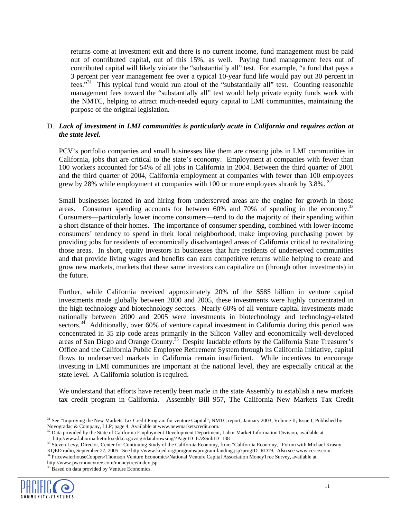returns come at investment exit and there is no current income, fund management must be paid out of contributed capital, out of this 15%, as well. Paying fund management fees out of contributed capital will likely violate the "substantially all" test. For example, "a fund that pays a 3 percent per year management fee over a typical 10-year fund life would pay out 30 percent in fees."<sup>31</sup> This typical fund would run afoul of the "substantially all" test. Counting reasonable management fees toward the "substantially all" test would help private equity funds work with the NMTC, helping to attract much-needed equity capital to LMI communities, maintaining the purpose of the original legislation.

#### D. *Lack of investment in LMI communities is particularly acute in California and requires action at the state level.*

PCV's portfolio companies and small businesses like them are creating jobs in LMI communities in California, jobs that are critical to the state's economy. Employment at companies with fewer than 100 workers accounted for 54% of all jobs in California in 2004. Between the third quarter of 2001 and the third quarter of 2004, California employment at companies with fewer than 100 employees grew by 28% while employment at companies with 100 or more employees shrank by 3.8%.  $32^{\circ}$ 

Small businesses located in and hiring from underserved areas are the engine for growth in those areas. Consumer spending accounts for between 60% and 70% of spending in the economy.<sup>33</sup> Consumers—particularly lower income consumers—tend to do the majority of their spending within a short distance of their homes. The importance of consumer spending, combined with lower-income consumers' tendency to spend in their local neighborhood, make improving purchasing power by providing jobs for residents of economically disadvantaged areas of California critical to revitalizing those areas. In short, equity investors in businesses that hire residents of underserved communities and that provide living wages and benefits can earn competitive returns while helping to create and grow new markets, markets that these same investors can capitalize on (through other investments) in the future.

Further, while California received approximately 20% of the \$585 billion in venture capital investments made globally between 2000 and 2005, these investments were highly concentrated in the high technology and biotechnology sectors. Nearly 60% of all venture capital investments made nationally between 2000 and 2005 were investments in biotechnology and technology-related sectors.<sup>34</sup> Additionally, over 60% of venture capital investment in California during this period was concentrated in 35 zip code areas primarily in the Silicon Valley and economically well-developed areas of San Diego and Orange County.<sup>35</sup> Despite laudable efforts by the California State Treasurer's Office and the California Public Employee Retirement System through its California Initiative, capital flows to underserved markets in California remain insufficient. While incentives to encourage investing in LMI communities are important at the national level, they are especially critical at the state level. A California solution is required.

We understand that efforts have recently been made in the state Assembly to establish a new markets tax credit program in California. Assembly Bill 957, The California New Markets Tax Credit



<span id="page-12-0"></span><sup>&</sup>lt;sup>31</sup> See "Improving the New Markets Tax Credit Program for venture Capital"; NMTC report; January 2003; Volume II; Issue I; Published by Novogradac & Company, LLP; page 4; Available at www.newmarketscredit.com.

<span id="page-12-1"></span> $32$  Data provided by the State of California Employment Development Department, Labor Market Information Division, available at http://www.labormarketinfo.edd.ca.gov/cgi/databrowsing/?PageID=67&SubID=138<br><sup>33</sup> Steven Levy, Director, Center for Continuing Study of the California Economy, from "California Economy," Forum with Michael Krasny,

<span id="page-12-2"></span>KQED radio, September 27, 2005. See http://www.kqed.org/programs/program-landing.jsp?progID=RD19. Also see www.ccsce.com.

<span id="page-12-4"></span><span id="page-12-3"></span><sup>34</sup> PricewaterhouseCoopers/Thomson Venture Economics/National Venture Capital Association MoneyTree Survey, available at http://www.pwcmoneytree.com/moneytree/index.jsp. 35 Based on data provided by Venture Economics.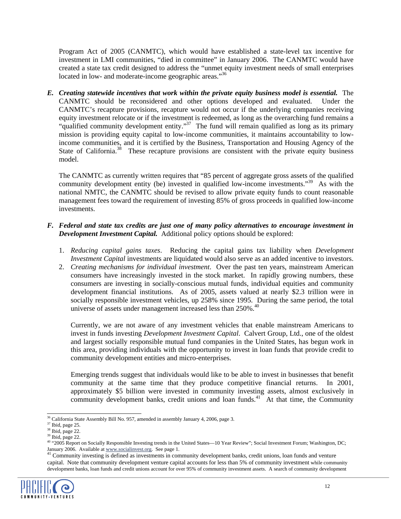<span id="page-13-5"></span>Program Act of 2005 (CANMTC), which would have established a state-level tax incentive for investment in LMI communities, "died in committee" in January 2006. The CANMTC would have created a state tax credit designed to address the "unmet equity investment needs of small enterprises located in low- and moderate-income geographic areas."<sup>36</sup>

*E. Creating statewide incentives that work within the private equity business model is essential.* The CANMTC should be reconsidered and other options developed and evaluated. Under the CANMTC's recapture provisions, recapture would not occur if the underlying companies receiving equity investment relocate or if the investment is redeemed, as long as the overarching fund remains a "qualified community development entity."<sup>37</sup> The fund will remain qualified as long as its primary mission is providing equity capital to low-income communities, it maintains accountability to lowincome communities, and it is certified by the Business, Transportation and Housing Agency of the State of California.<sup>38</sup> These recapture provisions are consistent with the private equity business model.

The CANMTC as currently written requires that "85 percent of aggregate gross assets of the qualified community development entity (be) invested in qualified low-income investments."<sup>39</sup> As with the national NMTC, the CANMTC should be revised to allow private equity funds to count reasonable management fees toward the requirement of investing 85% of gross proceeds in qualified low-income investments.

#### *F. Federal and state tax credits are just one of many policy alternatives to encourage investment in Development Investment Capital.* Additional policy options should be explored:

- 1. *Reducing capital gains taxes*. Reducing the capital gains tax liability when *Development Investment Capital* investments are liquidated would also serve as an added incentive to investors.
- 2. *Creating mechanisms for individual investment*. Over the past ten years, mainstream American consumers have increasingly invested in the stock market. In rapidly growing numbers, these consumers are investing in socially-conscious mutual funds, individual equities and community development financial institutions. As of 2005, assets valued at nearly \$2.3 trillion were in socially responsible investment vehicles, up 258% since 1995. During the same period, the total universe of assets under management increased less than  $250\%$ .<sup>[40](#page-13-4)</sup>

Currently, we are not aware of any investment vehicles that enable mainstream Americans to invest in funds investing *Development Investment Capital*. Calvert Group, Ltd., one of the oldest and largest socially responsible mutual fund companies in the United States, has begun work in this area, providing individuals with the opportunity to invest in loan funds that provide credit to community development entities and micro-enterprises.

Emerging trends suggest that individuals would like to be able to invest in businesses that benefit community at the same time that they produce competitive financial returns. In 2001, approximately \$5 billion were invested in community investing assets, almost exclusively in community development banks, credit unions and loan funds.<sup>41</sup> At that time, the Community

capital. Note that community development venture capital accounts for less than 5% of community investment while community development banks, loan funds and credit unions account for over 95% of community investment assets. A search of community development



<span id="page-13-0"></span> $36$  California State Assembly Bill No. 957, amended in assembly January 4, 2006, page 3.

<span id="page-13-1"></span> $37$  Ibid, page 25.

<span id="page-13-2"></span><sup>&</sup>lt;sup>38</sup> Ibid, page 22.

<span id="page-13-3"></span><sup>39</sup> Ibid, page 22.

<span id="page-13-4"></span><sup>40 &</sup>quot;2005 Report on Socially Responsible Investing trends in the United States—10 Year Review"; Social Investment Forum; Washington, DC; January 2006. Available at [www.socialinvest.org](http://www.socialinvest.org/). See page 1.<br><sup>41</sup> Community investing is defined as investments in community development banks, credit unions, loan funds and venture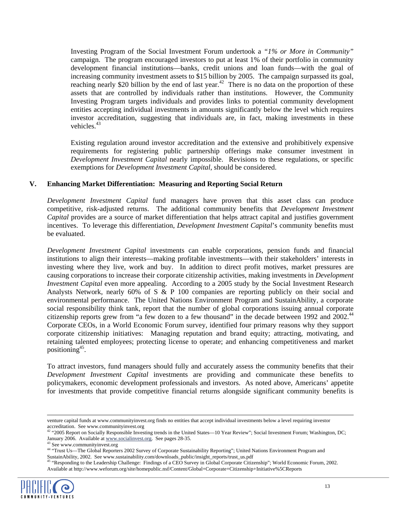Investing Program of the Social Investment Forum undertook a *"1% or More in Community"* campaign. The program encouraged investors to put at least 1% of their portfolio in community development financial institutions—banks, credit unions and loan funds—with the goal of increasing community investment assets to \$15 billion by 2005. The campaign surpassed its goal, reaching nearly \$20 billion by the end of last year.<sup>42</sup> There is no data on the proportion of these assets that are controlled by individuals rather than institutions. However, the Community Investing Program targets individuals and provides links to potential community development entities accepting individual investments in amounts significantly below the level which requires investor accreditation, suggesting that individuals are, in fact, making investments in these vehicles. $43$ 

Existing regulation around investor accreditation and the extensive and prohibitively expensive requirements for registering public partnership offerings make consumer investment in *Development Investment Capital* nearly impossible. Revisions to these regulations, or specific exemptions for *Development Investment Capital*, should be considered.

#### **V. Enhancing Market Differentiation: Measuring and Reporting Social Return**

*Development Investment Capital* fund managers have proven that this asset class can produce competitive, risk-adjusted returns. The additional community benefits that *Development Investment Capital* provides are a source of market differentiation that helps attract capital and justifies government incentives. To leverage this differentiation, *Development Investment Capital*'s community benefits must be evaluated.

*Development Investment Capital* investments can enable corporations, pension funds and financial institutions to align their interests—making profitable investments—with their stakeholders' interests in investing where they live, work and buy. In addition to direct profit motives, market pressures are causing corporations to increase their corporate citizenship activities, making investments in *Development Investment Capital* even more appealing. According to a 2005 study by the Social Investment Research Analysts Network, nearly 60% of S & P 100 companies are reporting publicly on their social and environmental performance. The United Nations Environment Program and SustainAbility, a corporate social responsibility think tank, report that the number of global corporations issuing annual corporate citizenship reports grew from "a few dozen to a few thousand" in the decade between 1992 and 2002.<sup>44</sup> Corporate CEOs, in a World Economic Forum survey, identified four primary reasons why they support corporate citizenship initiatives: Managing reputation and brand equity; attracting, motivating, and retaining talented employees; protecting license to operate; and enhancing competitiveness and market positioning[45.](#page-14-3)

To attract investors, fund managers should fully and accurately assess the community benefits that their *Development Investment Capital* investments are providing and communicate these benefits to policymakers, economic development professionals and investors. As noted above, Americans' appetite for investments that provide competitive financial returns alongside significant community benefits is

<sup>&</sup>lt;sup>45</sup> "Responding to the Leadership Challenge: Findings of a CEO Survey in Global Corporate Citizenship"; World Economic Forum, 2002. Available at <http://www.weforum.org/site/homepublic.nsf/Content/Global+Corporate+Citizenship+Initiative%5CReports>



j

venture capital funds at www.communityinvest.org finds no entities that accept individual investments below a level requiring investor accreditation. See www.communityinvest.org<br>
<sup>42</sup> "2005 Report on Socially Responsible Investing trends in the United States—10 Year Review"; Social Investment Forum; Washington, DC;

<span id="page-14-0"></span>January 2006. Available at [www.socialinvest.org](http://www.socialinvest.org/). See pages 28-35.<br><sup>43</sup> See www.communityinvest.org

<span id="page-14-1"></span>

<span id="page-14-3"></span><span id="page-14-2"></span><sup>&</sup>lt;sup>44</sup> "Trust Us—The Global Reporters 2002 Survey of Corporate Sustainability Reporting"; United Nations Environment Program and SustainAbility, 2002. See www.sustainability.com/downloads\_public/insight\_reports/trust\_us.pdf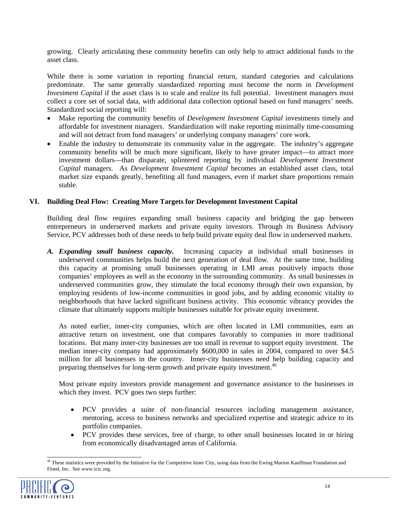growing. Clearly articulating these community benefits can only help to attract additional funds to the asset class.

While there is some variation in reporting financial return, standard categories and calculations predominate. The same generally standardized reporting must become the norm in *Development Investment Capital* if the asset class is to scale and realize its full potential. Investment managers must collect a core set of social data, with additional data collection optional based on fund managers' needs. Standardized social reporting will:

- Make reporting the community benefits of *Development Investment Capital* investments timely and affordable for investment managers. Standardization will make reporting minimally time-consuming and will not detract from fund managers' or underlying company managers' core work.
- Enable the industry to demonstrate its community value in the aggregate. The industry's aggregate community benefits will be much more significant, likely to have greater impact—to attract more investment dollars—than disparate, splintered reporting by individual *Development Investment Capital* managers. As *Development Investment Capital* becomes an established asset class, total market size expands greatly, benefiting all fund managers, even if market share proportions remain stable.

#### **VI. Building Deal Flow: Creating More Targets for Development Investment Capital**

Building deal flow requires expanding small business capacity and bridging the gap between entrepreneurs in underserved markets and private equity investors. Through its Business Advisory Service, PCV addresses both of these needs to help build private equity deal flow in underserved markets.

*A. Expanding small business capacity.* Increasing capacity at individual small businesses in underserved communities helps build the next generation of deal flow. At the same time, building this capacity at promising small businesses operating in LMI areas positively impacts those companies' employees as well as the economy in the surrounding community. As small businesses in underserved communities grow, they stimulate the local economy through their own expansion, by employing residents of low-income communities in good jobs, and by adding economic vitality to neighborhoods that have lacked significant business activity. This economic vibrancy provides the climate that ultimately supports multiple businesses suitable for private equity investment.

As noted earlier, inner-city companies, which are often located in LMI communities, earn an attractive return on investment, one that compares favorably to companies in more traditional locations. But many inner-city businesses are too small in revenue to support equity investment. The median inner-city company had approximately \$600,000 in sales in 2004, compared to over \$4.5 million for all businesses in the country. Inner-city businesses need help building capacity and preparing themselves for long-term growth and private equity investment.<sup>46</sup>

Most private equity investors provide management and governance assistance to the businesses in which they invest. PCV goes two steps further:

- PCV provides a suite of non-financial resources including management assistance, mentoring, access to business networks and specialized expertise and strategic advice to its portfolio companies.
- <span id="page-15-0"></span>• PCV provides these services, free of charge, to other small businesses located in or hiring from economically disadvantaged areas of California.

<sup>&</sup>lt;sup>46</sup> These statistics were provided by the Initiative for the Competitive Inner City, using data from the Ewing Marion Kauffman Foundation and Fintel, Inc. See www.icic.org.

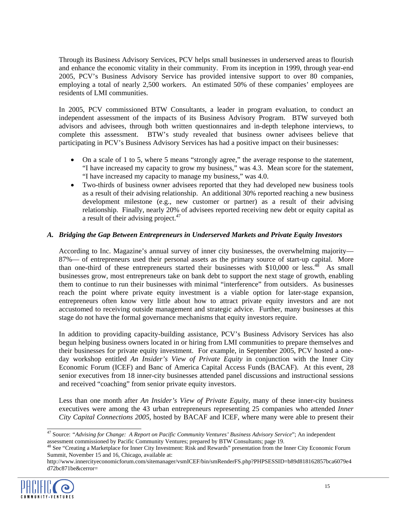Through its Business Advisory Services, PCV helps small businesses in underserved areas to flourish and enhance the economic vitality in their community. From its inception in 1999, through year-end 2005, PCV's Business Advisory Service has provided intensive support to over 80 companies, employing a total of nearly 2,500 workers. An estimated 50% of these companies' employees are residents of LMI communities.

In 2005, PCV commissioned BTW Consultants, a leader in program evaluation, to conduct an independent assessment of the impacts of its Business Advisory Program. BTW surveyed both advisors and advisees, through both written questionnaires and in-depth telephone interviews, to complete this assessment. BTW's study revealed that business owner advisees believe that participating in PCV's Business Advisory Services has had a positive impact on their businesses:

- On a scale of 1 to 5, where 5 means "strongly agree," the average response to the statement, "I have increased my capacity to grow my business," was 4.3. Mean score for the statement, "I have increased my capacity to manage my business," was 4.0.
- Two-thirds of business owner advisees reported that they had developed new business tools as a result of their advising relationship. An additional 30% reported reaching a new business development milestone (e.g., new customer or partner) as a result of their advising relationship. Finally, nearly 20% of advisees reported receiving new debt or equity capital as a result of their advising project.<sup>[47](#page-16-0)</sup>

## *A. Bridging the Gap Between Entrepreneurs in Underserved Markets and Private Equity Investors*

According to Inc. Magazine's annual survey of inner city businesses, the overwhelming majority— 87%— of entrepreneurs used their personal assets as the primary source of start-up capital. More than one-third of these entrepreneurs started their businesses with \$10,000 or less.<sup>48</sup> As small businesses grow, most entrepreneurs take on bank debt to support the next stage of growth, enabling them to continue to run their businesses with minimal "interference" from outsiders. As businesses reach the point where private equity investment is a viable option for later-stage expansion, entrepreneurs often know very little about how to attract private equity investors and are not accustomed to receiving outside management and strategic advice. Further, many businesses at this stage do not have the formal governance mechanisms that equity investors require.

In addition to providing capacity-building assistance, PCV's Business Advisory Services has also begun helping business owners located in or hiring from LMI communities to prepare themselves and their businesses for private equity investment. For example, in September 2005, PCV hosted a oneday workshop entitled *An Insider's View of Private Equity* in conjunction with the Inner City Economic Forum (ICEF) and Banc of America Capital Access Funds (BACAF). At this event, 28 senior executives from 18 inner-city businesses attended panel discussions and instructional sessions and received "coaching" from senior private equity investors.

Less than one month after *An Insider's View of Private Equity*, many of these inner-city business executives were among the 43 urban entrepreneurs representing 25 companies who attended *Inner City Capital Connections 2005*, hosted by BACAF and ICEF, where many were able to present their

http://www.innercityeconomicforum.com/sitemanager/vsmICEF/bin/smRenderFS.php?PHPSESSID=b89d818162857bca6079e4 d72bc871be&cerror=



<span id="page-16-0"></span> <sup>47</sup> Source: *"Advising for Change: A Report on Pacific Community Ventures' Business Advisory Service*"; An independent assessment commissioned by Pacific Community Ventures; prepared by BTW Consultants; page 19.<br><sup>48</sup> See "Creating a Marketplace for Inner City Investment: Risk and Rewards" presentation from the Inner City Economic Forum

<span id="page-16-1"></span>Summit, November 15 and 16, Chicago, available at: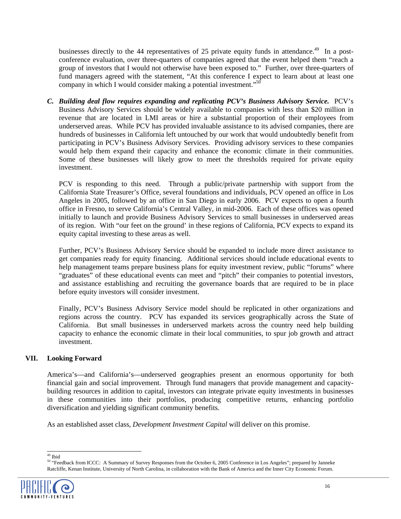businesses directly to the 44 representatives of 25 private equity funds in attendance.<sup>49</sup> In a postconference evaluation, over three-quarters of companies agreed that the event helped them "reach a group of investors that I would not otherwise have been exposed to." Further, over three-quarters of fund managers agreed with the statement, "At this conference I expect to learn about at least one company in which I would consider making a potential investment."<sup>[50](#page-17-1)</sup>

*C. Building deal flow requires expanding and replicating PCV's Business Advisory Service.* PCV's Business Advisory Services should be widely available to companies with less than \$20 million in revenue that are located in LMI areas or hire a substantial proportion of their employees from underserved areas. While PCV has provided invaluable assistance to its advised companies, there are hundreds of businesses in California left untouched by our work that would undoubtedly benefit from participating in PCV's Business Advisory Services. Providing advisory services to these companies would help them expand their capacity and enhance the economic climate in their communities. Some of these businesses will likely grow to meet the thresholds required for private equity investment.

PCV is responding to this need. Through a public/private partnership with support from the California State Treasurer's Office, several foundations and individuals, PCV opened an office in Los Angeles in 2005, followed by an office in San Diego in early 2006. PCV expects to open a fourth office in Fresno, to serve California's Central Valley, in mid-2006. Each of these offices was opened initially to launch and provide Business Advisory Services to small businesses in underserved areas of its region. With "our feet on the ground' in these regions of California, PCV expects to expand its equity capital investing to these areas as well.

Further, PCV's Business Advisory Service should be expanded to include more direct assistance to get companies ready for equity financing. Additional services should include educational events to help management teams prepare business plans for equity investment review, public "forums" where "graduates" of these educational events can meet and "pitch" their companies to potential investors, and assistance establishing and recruiting the governance boards that are required to be in place before equity investors will consider investment.

Finally, PCV's Business Advisory Service model should be replicated in other organizations and regions across the country. PCV has expanded its services geographically across the State of California. But small businesses in underserved markets across the country need help building capacity to enhance the economic climate in their local communities, to spur job growth and attract investment.

## **VII. Looking Forward**

America's—and California's—underserved geographies present an enormous opportunity for both financial gain and social improvement. Through fund managers that provide management and capacitybuilding resources in addition to capital, investors can integrate private equity investments in businesses in these communities into their portfolios, producing competitive returns, enhancing portfolio diversification and yielding significant community benefits.

As an established asset class, *Development Investment Capital* will deliver on this promise.

<span id="page-17-1"></span><span id="page-17-0"></span> $^{\rm 49}$ Ibid

<sup>50 &</sup>quot;Feedback from ICCC: A Summary of Survey Responses from the October 6, 2005 Conference in Los Angeles"; prepared by Janneke Ratcliffe, Kenan Institute, University of North Carolina, in collaboration with the Bank of America and the Inner City Economic Forum.